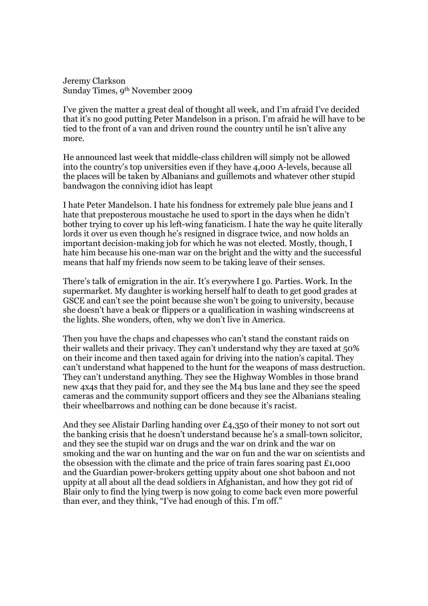Jeremy Clarkson Sunday Times, 9th November 2009

I've given the matter a great deal of thought all week, and I'm afraid I've decided that it's no good putting Peter Mandelson in a prison. I'm afraid he will have to be tied to the front of a van and driven round the country until he isn't alive any more.

He announced last week that middle-class children will simply not be allowed into the country's top universities even if they have 4,000 A-levels, because all the places will be taken by Albanians and guillemots and whatever other stupid bandwagon the conniving idiot has leapt

I hate Peter Mandelson. I hate his fondness for extremely pale blue jeans and I hate that preposterous moustache he used to sport in the days when he didn't bother trying to cover up his left-wing fanaticism. I hate the way he quite literally lords it over us even though he's resigned in disgrace twice, and now holds an important decision-making job for which he was not elected. Mostly, though, I hate him because his one-man war on the bright and the witty and the successful means that half my friends now seem to be taking leave of their senses.

There's talk of emigration in the air. It's everywhere I go. Parties. Work. In the supermarket. My daughter is working herself half to death to get good grades at GSCE and can't see the point because she won't be going to university, because she doesn't have a beak or flippers or a qualification in washing windscreens at the lights. She wonders, often, why we don't live in America.

Then you have the chaps and chapesses who can't stand the constant raids on their wallets and their privacy. They can't understand why they are taxed at 50% on their income and then taxed again for driving into the nation's capital. They can't understand what happened to the hunt for the weapons of mass destruction. They can't understand anything. They see the Highway Wombles in those brand new 4x4s that they paid for, and they see the M4 bus lane and they see the speed cameras and the community support officers and they see the Albanians stealing their wheelbarrows and nothing can be done because it's racist.

And they see Alistair Darling handing over £4,350 of their money to not sort out the banking crisis that he doesn't understand because he's a small-town solicitor, and they see the stupid war on drugs and the war on drink and the war on smoking and the war on hunting and the war on fun and the war on scientists and the obsession with the climate and the price of train fares soaring past £1,000 and the Guardian power-brokers getting uppity about one shot baboon and not uppity at all about all the dead soldiers in Afghanistan, and how they got rid of Blair only to find the lying twerp is now going to come back even more powerful than ever, and they think, "I've had enough of this. I'm off."